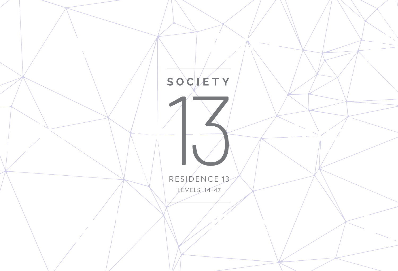